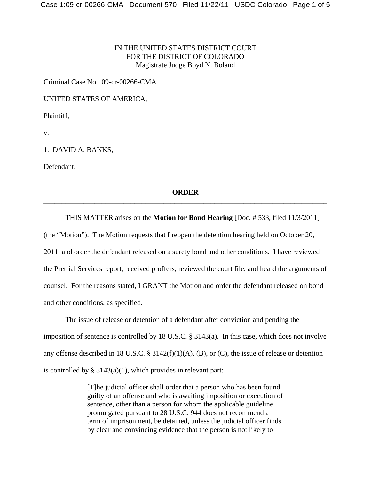# IN THE UNITED STATES DISTRICT COURT FOR THE DISTRICT OF COLORADO Magistrate Judge Boyd N. Boland

Criminal Case No. 09-cr-00266-CMA

UNITED STATES OF AMERICA,

Plaintiff,

v.

1. DAVID A. BANKS,

Defendant.

# **ORDER \_\_\_\_\_\_\_\_\_\_\_\_\_\_\_\_\_\_\_\_\_\_\_\_\_\_\_\_\_\_\_\_\_\_\_\_\_\_\_\_\_\_\_\_\_\_\_\_\_\_\_\_\_\_\_\_\_\_\_\_\_\_\_\_\_\_\_\_\_\_\_\_\_\_\_\_\_\_**

\_\_\_\_\_\_\_\_\_\_\_\_\_\_\_\_\_\_\_\_\_\_\_\_\_\_\_\_\_\_\_\_\_\_\_\_\_\_\_\_\_\_\_\_\_\_\_\_\_\_\_\_\_\_\_\_\_\_\_\_\_\_\_\_\_\_\_\_\_\_\_\_\_\_\_\_\_\_

### THIS MATTER arises on the **Motion for Bond Hearing** [Doc. # 533, filed 11/3/2011]

(the "Motion"). The Motion requests that I reopen the detention hearing held on October 20, 2011, and order the defendant released on a surety bond and other conditions. I have reviewed the Pretrial Services report, received proffers, reviewed the court file, and heard the arguments of counsel. For the reasons stated, I GRANT the Motion and order the defendant released on bond and other conditions, as specified.

The issue of release or detention of a defendant after conviction and pending the imposition of sentence is controlled by 18 U.S.C. § 3143(a). In this case, which does not involve any offense described in 18 U.S.C. § 3142(f)(1)(A), (B), or (C), the issue of release or detention is controlled by  $\S 3143(a)(1)$ , which provides in relevant part:

> [T]he judicial officer shall order that a person who has been found guilty of an offense and who is awaiting imposition or execution of sentence, other than a person for whom the applicable guideline promulgated pursuant to 28 U.S.C. 944 does not recommend a term of imprisonment, be detained, unless the judicial officer finds by clear and convincing evidence that the person is not likely to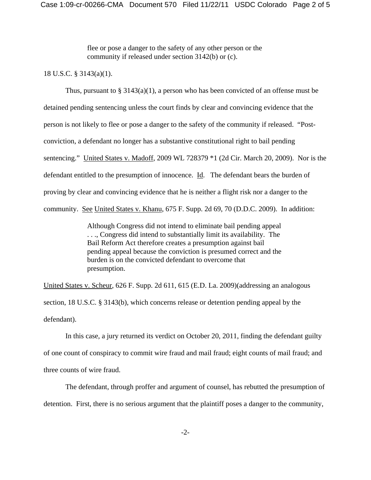flee or pose a danger to the safety of any other person or the community if released under section 3142(b) or (c).

### 18 U.S.C. § 3143(a)(1).

Thus, pursuant to  $\S 3143(a)(1)$ , a person who has been convicted of an offense must be detained pending sentencing unless the court finds by clear and convincing evidence that the person is not likely to flee or pose a danger to the safety of the community if released. "Postconviction, a defendant no longer has a substantive constitutional right to bail pending sentencing." United States v. Madoff, 2009 WL 728379 \*1 (2d Cir. March 20, 2009). Nor is the defendant entitled to the presumption of innocence. Id. The defendant bears the burden of proving by clear and convincing evidence that he is neither a flight risk nor a danger to the community. See United States v. Khanu, 675 F. Supp. 2d 69, 70 (D.D.C. 2009). In addition:

> Although Congress did not intend to eliminate bail pending appeal . . ., Congress did intend to substantially limit its availability. The Bail Reform Act therefore creates a presumption against bail pending appeal because the conviction is presumed correct and the burden is on the convicted defendant to overcome that presumption.

United States v. Scheur, 626 F. Supp. 2d 611, 615 (E.D. La. 2009)(addressing an analogous section, 18 U.S.C. § 3143(b), which concerns release or detention pending appeal by the defendant).

In this case, a jury returned its verdict on October 20, 2011, finding the defendant guilty of one count of conspiracy to commit wire fraud and mail fraud; eight counts of mail fraud; and three counts of wire fraud.

The defendant, through proffer and argument of counsel, has rebutted the presumption of detention. First, there is no serious argument that the plaintiff poses a danger to the community,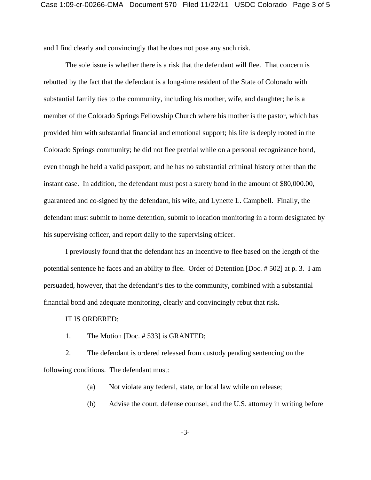and I find clearly and convincingly that he does not pose any such risk.

The sole issue is whether there is a risk that the defendant will flee. That concern is rebutted by the fact that the defendant is a long-time resident of the State of Colorado with substantial family ties to the community, including his mother, wife, and daughter; he is a member of the Colorado Springs Fellowship Church where his mother is the pastor, which has provided him with substantial financial and emotional support; his life is deeply rooted in the Colorado Springs community; he did not flee pretrial while on a personal recognizance bond, even though he held a valid passport; and he has no substantial criminal history other than the instant case. In addition, the defendant must post a surety bond in the amount of \$80,000.00, guaranteed and co-signed by the defendant, his wife, and Lynette L. Campbell. Finally, the defendant must submit to home detention, submit to location monitoring in a form designated by his supervising officer, and report daily to the supervising officer.

I previously found that the defendant has an incentive to flee based on the length of the potential sentence he faces and an ability to flee. Order of Detention [Doc. # 502] at p. 3. I am persuaded, however, that the defendant's ties to the community, combined with a substantial financial bond and adequate monitoring, clearly and convincingly rebut that risk.

#### IT IS ORDERED:

1. The Motion [Doc. # 533] is GRANTED;

2. The defendant is ordered released from custody pending sentencing on the following conditions. The defendant must:

(a) Not violate any federal, state, or local law while on release;

(b) Advise the court, defense counsel, and the U.S. attorney in writing before

-3-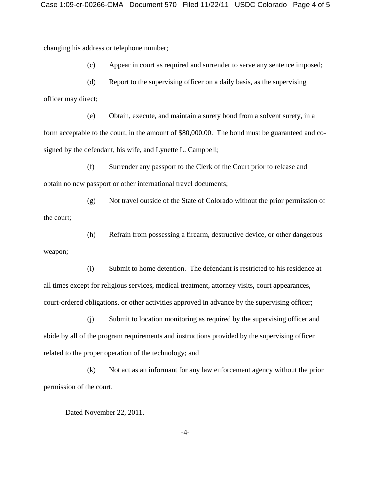changing his address or telephone number;

(c) Appear in court as required and surrender to serve any sentence imposed;

(d) Report to the supervising officer on a daily basis, as the supervising officer may direct;

(e) Obtain, execute, and maintain a surety bond from a solvent surety, in a form acceptable to the court, in the amount of \$80,000.00. The bond must be guaranteed and cosigned by the defendant, his wife, and Lynette L. Campbell;

(f) Surrender any passport to the Clerk of the Court prior to release and obtain no new passport or other international travel documents;

(g) Not travel outside of the State of Colorado without the prior permission of the court;

(h) Refrain from possessing a firearm, destructive device, or other dangerous

(i) Submit to home detention. The defendant is restricted to his residence at all times except for religious services, medical treatment, attorney visits, court appearances, court-ordered obligations, or other activities approved in advance by the supervising officer;

(j) Submit to location monitoring as required by the supervising officer and abide by all of the program requirements and instructions provided by the supervising officer related to the proper operation of the technology; and

(k) Not act as an informant for any law enforcement agency without the prior permission of the court.

Dated November 22, 2011.

weapon;

-4-